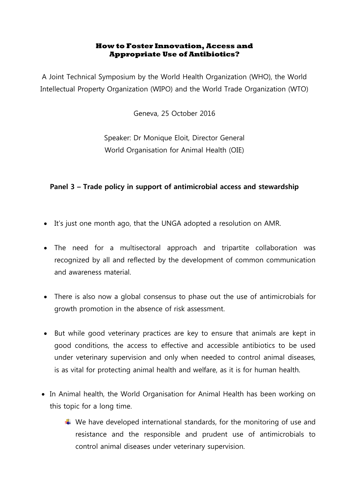## **How to Foster Innovation, Access and Appropriate Use of Antibiotics?**

A Joint Technical Symposium by the World Health Organization (WHO), the World Intellectual Property Organization (WIPO) and the World Trade Organization (WTO)

Geneva, 25 October 2016

Speaker: Dr Monique Eloit, Director General World Organisation for Animal Health (OIE)

## **Panel 3 – Trade policy in support of antimicrobial access and stewardship**

- It's just one month ago, that the UNGA adopted a resolution on AMR.
- The need for a multisectoral approach and tripartite collaboration was recognized by all and reflected by the development of common communication and awareness material.
- There is also now a global consensus to phase out the use of antimicrobials for growth promotion in the absence of risk assessment.
- But while good veterinary practices are key to ensure that animals are kept in good conditions, the access to effective and accessible antibiotics to be used under veterinary supervision and only when needed to control animal diseases, is as vital for protecting animal health and welfare, as it is for human health.
- In Animal health, the World Organisation for Animal Health has been working on this topic for a long time.
	- $\ddot{+}$  We have developed international standards, for the monitoring of use and resistance and the responsible and prudent use of antimicrobials to control animal diseases under veterinary supervision.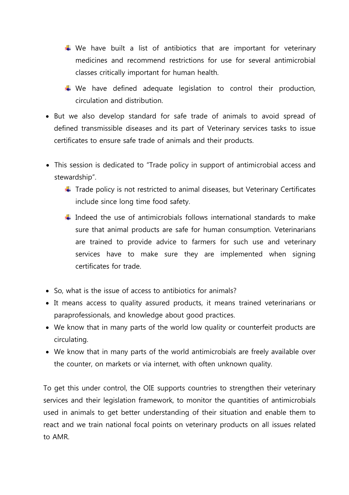- $\downarrow$  We have built a list of antibiotics that are important for veterinary medicines and recommend restrictions for use for several antimicrobial classes critically important for human health.
- $\downarrow$  We have defined adequate legislation to control their production, circulation and distribution.
- But we also develop standard for safe trade of animals to avoid spread of defined transmissible diseases and its part of Veterinary services tasks to issue certificates to ensure safe trade of animals and their products.
- This session is dedicated to "Trade policy in support of antimicrobial access and stewardship".
	- $\ddot{\phantom{1}}$  Trade policy is not restricted to animal diseases, but Veterinary Certificates include since long time food safety.
	- $\frac{1}{\sqrt{1}}$  Indeed the use of antimicrobials follows international standards to make sure that animal products are safe for human consumption. Veterinarians are trained to provide advice to farmers for such use and veterinary services have to make sure they are implemented when signing certificates for trade.
- So, what is the issue of access to antibiotics for animals?
- It means access to quality assured products, it means trained veterinarians or paraprofessionals, and knowledge about good practices.
- We know that in many parts of the world low quality or counterfeit products are circulating.
- We know that in many parts of the world antimicrobials are freely available over the counter, on markets or via internet, with often unknown quality.

To get this under control, the OIE supports countries to strengthen their veterinary services and their legislation framework, to monitor the quantities of antimicrobials used in animals to get better understanding of their situation and enable them to react and we train national focal points on veterinary products on all issues related to AMR.